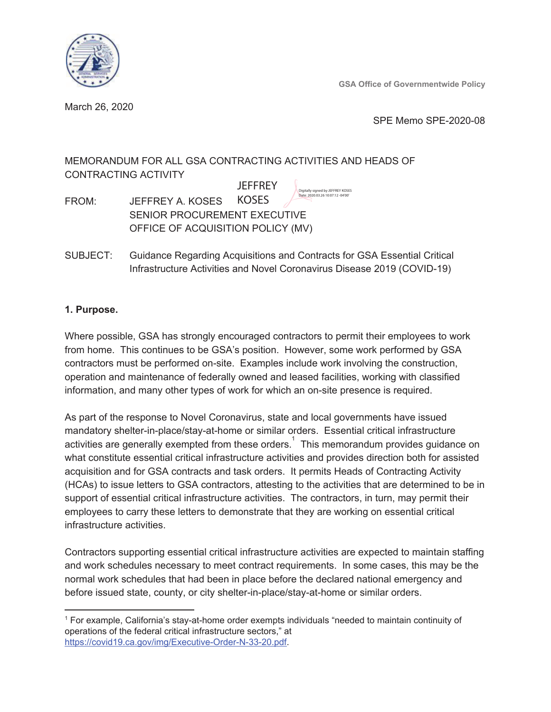

**GSA Office of Governmentwide Policy** 

March 26, 2020

SPE Memo SPE-2020-08

# MEMORANDUM FOR ALL GSA CONTRACTING ACTIVITIES AND HEADS OF **CONTRACTING ACTIVITY**

**JFFFRFY** Digitally signed by JEFFREY KOSES Date: 2020.03.26 10:07:12 -04'00

JEFFREY A. KOSES KOSES FROM: SENIOR PROCUREMENT EXECUTIVE OFFICE OF ACQUISITION POLICY (MV)

SUBJECT: Guidance Regarding Acquisitions and Contracts for GSA Essential Critical Infrastructure Activities and Novel Coronavirus Disease 2019 (COVID-19)

## 1. Purpose.

Where possible, GSA has strongly encouraged contractors to permit their employees to work from home. This continues to be GSA's position. However, some work performed by GSA contractors must be performed on-site. Examples include work involving the construction, operation and maintenance of federally owned and leased facilities, working with classified information, and many other types of work for which an on-site presence is required.

As part of the response to Novel Coronavirus, state and local governments have issued mandatory shelter-in-place/stay-at-home or similar orders. Essential critical infrastructure activities are generally exempted from these orders.<sup>1</sup> This memorandum provides guidance on what constitute essential critical infrastructure activities and provides direction both for assisted acquisition and for GSA contracts and task orders. It permits Heads of Contracting Activity (HCAs) to issue letters to GSA contractors, attesting to the activities that are determined to be in support of essential critical infrastructure activities. The contractors, in turn, may permit their employees to carry these letters to demonstrate that they are working on essential critical infrastructure activities.

Contractors supporting essential critical infrastructure activities are expected to maintain staffing and work schedules necessary to meet contract requirements. In some cases, this may be the normal work schedules that had been in place before the declared national emergency and before issued state, county, or city shelter-in-place/stay-at-home or similar orders.

<sup>&</sup>lt;sup>1</sup> For example, California's stay-at-home order exempts individuals "needed to maintain continuity of operations of the federal critical infrastructure sectors," at https://covid19.ca.gov/img/Executive-Order-N-33-20.pdf.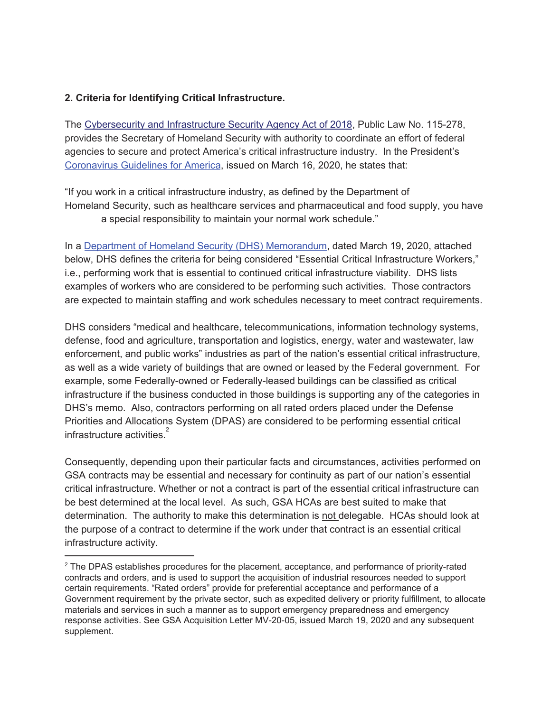### 2. Criteria for Identifying Critical Infrastructure.

The Cybersecurity and Infrastructure Security Agency Act of 2018, Public Law No. 115-278, provides the Secretary of Homeland Security with authority to coordinate an effort of federal agencies to secure and protect America's critical infrastructure industry. In the President's Coronavirus Guidelines for America, issued on March 16, 2020, he states that:

"If you work in a critical infrastructure industry, as defined by the Department of Homeland Security, such as healthcare services and pharmaceutical and food supply, you have a special responsibility to maintain your normal work schedule."

In a Department of Homeland Security (DHS) Memorandum, dated March 19, 2020, attached below, DHS defines the criteria for being considered "Essential Critical Infrastructure Workers," i.e., performing work that is essential to continued critical infrastructure viability. DHS lists examples of workers who are considered to be performing such activities. Those contractors are expected to maintain staffing and work schedules necessary to meet contract requirements.

DHS considers "medical and healthcare, telecommunications, information technology systems, defense, food and agriculture, transportation and logistics, energy, water and wastewater, law enforcement, and public works" industries as part of the nation's essential critical infrastructure, as well as a wide variety of buildings that are owned or leased by the Federal government. For example, some Federally-owned or Federally-leased buildings can be classified as critical infrastructure if the business conducted in those buildings is supporting any of the categories in DHS's memo. Also, contractors performing on all rated orders placed under the Defense Priorities and Allocations System (DPAS) are considered to be performing essential critical infrastructure activities.

Consequently, depending upon their particular facts and circumstances, activities performed on GSA contracts may be essential and necessary for continuity as part of our nation's essential critical infrastructure. Whether or not a contract is part of the essential critical infrastructure can be best determined at the local level. As such, GSA HCAs are best suited to make that determination. The authority to make this determination is not delegable. HCAs should look at the purpose of a contract to determine if the work under that contract is an essential critical infrastructure activity.

<sup>&</sup>lt;sup>2</sup> The DPAS establishes procedures for the placement, acceptance, and performance of priority-rated contracts and orders, and is used to support the acquisition of industrial resources needed to support certain requirements. "Rated orders" provide for preferential acceptance and performance of a Government requirement by the private sector, such as expedited delivery or priority fulfillment, to allocate materials and services in such a manner as to support emergency preparedness and emergency response activities. See GSA Acquisition Letter MV-20-05, issued March 19, 2020 and any subsequent supplement.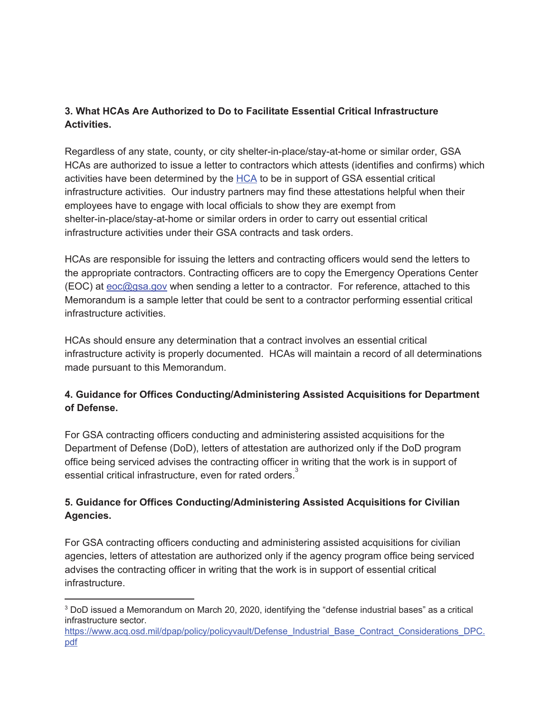# 3. What HCAs Are Authorized to Do to Facilitate Essential Critical Infrastructure **Activities.**

Regardless of any state, county, or city shelter-in-place/stay-at-home or similar order, GSA HCAs are authorized to issue a letter to contractors which attests (identifies and confirms) which activities have been determined by the HCA to be in support of GSA essential critical infrastructure activities. Our industry partners may find these attestations helpful when their employees have to engage with local officials to show they are exempt from shelter-in-place/stay-at-home or similar orders in order to carry out essential critical infrastructure activities under their GSA contracts and task orders.

HCAs are responsible for issuing the letters and contracting officers would send the letters to the appropriate contractors. Contracting officers are to copy the Emergency Operations Center (EOC) at eoc@gsa.gov when sending a letter to a contractor. For reference, attached to this Memorandum is a sample letter that could be sent to a contractor performing essential critical infrastructure activities.

HCAs should ensure any determination that a contract involves an essential critical infrastructure activity is properly documented. HCAs will maintain a record of all determinations made pursuant to this Memorandum.

## 4. Guidance for Offices Conducting/Administering Assisted Acquisitions for Department of Defense.

For GSA contracting officers conducting and administering assisted acquisitions for the Department of Defense (DoD), letters of attestation are authorized only if the DoD program office being serviced advises the contracting officer in writing that the work is in support of essential critical infrastructure, even for rated orders.

## 5. Guidance for Offices Conducting/Administering Assisted Acquisitions for Civilian Agencies.

For GSA contracting officers conducting and administering assisted acquisitions for civilian agencies, letters of attestation are authorized only if the agency program office being serviced advises the contracting officer in writing that the work is in support of essential critical infrastructure.

<sup>&</sup>lt;sup>3</sup> DoD issued a Memorandum on March 20, 2020, identifying the "defense industrial bases" as a critical infrastructure sector.

https://www.acq.osd.mil/dpap/policy/policyvault/Defense Industrial Base Contract Considerations DPC. pdf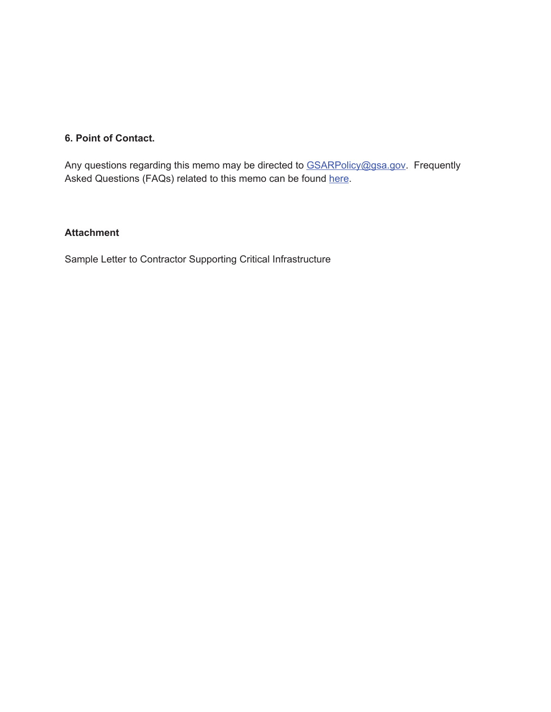### 6. Point of Contact.

Any questions regarding this memo may be directed to GSARPolicy@gsa.gov. Frequently Asked Questions (FAQs) related to this memo can be found here.

## **Attachment**

Sample Letter to Contractor Supporting Critical Infrastructure